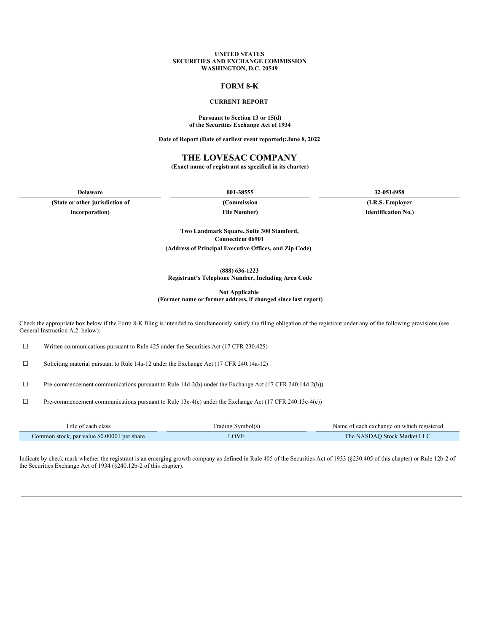#### **UNITED STATES SECURITIES AND EXCHANGE COMMISSION WASHINGTON, D.C. 20549**

### **FORM 8-K**

### **CURRENT REPORT**

#### **Pursuant to Section 13 or 15(d) of the Securities Exchange Act of 1934**

**Date of Report (Date of earliest event reported):June 8, 2022**

### **THE LOVESAC COMPANY**

**(Exact name of registrant as specified in its charter)**

**(State or other jurisdiction of (Commission (I.R.S. Employer incorporation) File Number) Identification No.)**

**Delaware 001-38555 32-0514958**

**Two Landmark Square, Suite 300 Stamford, Connecticut 06901 (Address of Principal Executive Offices, and Zip Code)**

**(888) 636-1223**

**Registrant's Telephone Number, Including Area Code**

**Not Applicable**

**(Former name or former address, if changed since last report)**

Check the appropriate box below if the Form 8-K filing is intended to simultaneously satisfy the filing obligation of the registrant under any of the following provisions (see General Instruction A.2. below):

☐ Written communications pursuant to Rule 425 under the Securities Act (17 CFR 230.425)

☐ Soliciting material pursuant to Rule 14a-12 under the Exchange Act (17 CFR 240.14a-12)

☐ Pre-commencement communications pursuant to Rule 14d-2(b) under the Exchange Act (17 CFR 240.14d-2(b))

☐ Pre-commencement communications pursuant to Rule 13e-4(c) under the Exchange Act (17 CFR 240.13e-4(c))

| l'itle of each class                        | Frading Symbol(s) | Name of each exchange on which registered |
|---------------------------------------------|-------------------|-------------------------------------------|
| Common stock, par value \$0.00001 per share |                   | The NASDAO Stock Market LLC               |

Indicate by check mark whether the registrant is an emerging growth company as defined in Rule 405 of the Securities Act of 1933 (§230.405 of this chapter) or Rule 12b-2 of the Securities Exchange Act of 1934 (§240.12b-2 of this chapter).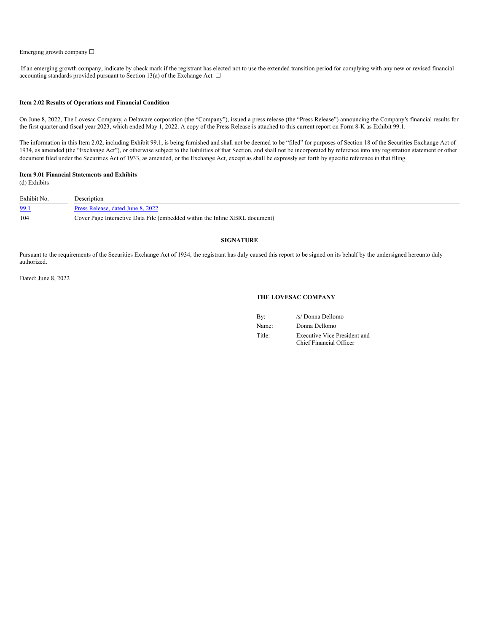#### Emerging growth company ☐

If an emerging growth company, indicate by check mark if the registrant has elected not to use the extended transition period for complying with any new or revised financial accounting standards provided pursuant to Section 13(a) of the Exchange Act.  $\Box$ 

#### **Item 2.02 Results of Operations and Financial Condition**

On June 8, 2022, The Lovesac Company, a Delaware corporation (the "Company"), issued a press release (the "Press Release") announcing the Company's financial results for the first quarter and fiscal year 2023, which ended May 1, 2022. A copy of the Press Release is attached to this current report on Form 8-K as Exhibit 99.1.

The information in this Item 2.02, including Exhibit 99.1, is being furnished and shall not be deemed to be "filed" for purposes of Section 18 of the Securities Exchange Act of 1934, as amended (the "Exchange Act"), or otherwise subject to the liabilities of that Section, and shall not be incorporated by reference into any registration statement or other document filed under the Securities Act of 1933, as amended, or the Exchange Act, except as shall be expressly set forth by specific reference in that filing.

# **Item 9.01 Financial Statements and Exhibits**

(d) Exhibits

| Exhibit No. | Description                                                                 |
|-------------|-----------------------------------------------------------------------------|
| 99.1        | Press Release, dated June 8, 2022                                           |
| 104         | Cover Page Interactive Data File (embedded within the Inline XBRL document) |

#### **SIGNATURE**

Pursuant to the requirements of the Securities Exchange Act of 1934, the registrant has duly caused this report to be signed on its behalf by the undersigned hereunto duly authorized.

Dated: June 8, 2022

#### **THE LOVESAC COMPANY**

| By:    | /s/ Donna Dellomo                                              |
|--------|----------------------------------------------------------------|
| Name:  | Donna Dellomo                                                  |
| Title: | <b>Executive Vice President and</b><br>Chief Financial Officer |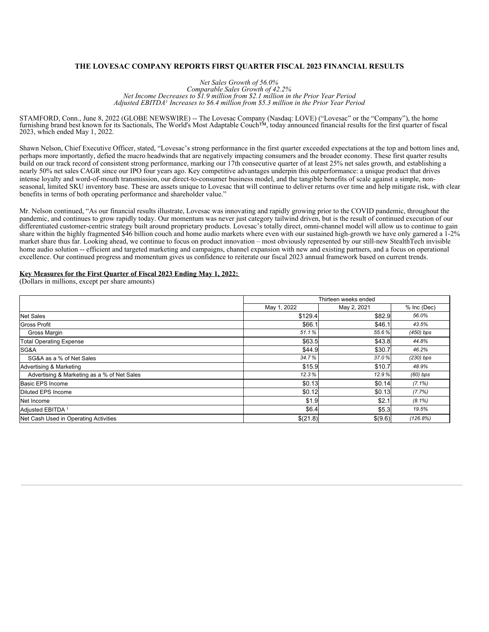### **THE LOVESAC COMPANY REPORTS FIRST QUARTER FISCAL 2023 FINANCIAL RESULTS**

*Net Sales Growth of 56.0% Comparable Sales Growth of 42.2% Net Income Decreases to \$1.9 million from \$2.1 million in the Prior Year Period Adjusted EBITDA Increases to \$6.4 million from \$5.3 million in the Prior Year Period 1*

STAMFORD, Conn., June 8, 2022 (GLOBE NEWSWIRE) -- The Lovesac Company (Nasdaq: LOVE) ("Lovesac" or the "Company"), the home furnishing brand best known for its Sactionals, The World's Most Adaptable Couch™, today announced financial results for the first quarter of fiscal 2023, which ended May 1, 2022.

Shawn Nelson, Chief Executive Officer, stated, "Lovesac's strong performance in the first quarter exceeded expectations at the top and bottom lines and, perhaps more importantly, defied the macro headwinds that are negatively impacting consumers and the broader economy. These first quarter results build on our track record of consistent strong performance, marking our 17th consecutive quarter of at least 25% net sales growth, and establishing a nearly 50% net sales CAGR since our IPO four years ago. Key competitive advantages underpin this outperformance: a unique product that drives intense loyalty and word-of-mouth transmission, our direct-to-consumer business model, and the tangible benefits of scale against a simple, nonseasonal, limited SKU inventory base. These are assets unique to Lovesac that will continue to deliver returns over time and help mitigate risk, with clear benefits in terms of both operating performance and shareholder value."

Mr. Nelson continued, "As our financial results illustrate, Lovesac was innovating and rapidly growing prior to the COVID pandemic, throughout the pandemic, and continues to grow rapidly today. Our momentum was never just category tailwind driven, but is the result of continued execution of our differentiated customer-centric strategy built around proprietary products. Lovesac's totally direct, omni-channel model will allow us to continue to gain share within the highly fragmented \$46 billion couch and home audio markets where even with our sustained high-growth we have only garnered a 1-2% market share thus far. Looking ahead, we continue to focus on product innovation – most obviously represented by our still-new StealthTech invisible home audio solution -- efficient and targeted marketing and campaigns, channel expansion with new and existing partners, and a focus on operational excellence. Our continued progress and momentum gives us confidence to reiterate our fiscal 2023 annual framework based on current trends.

#### **Key Measures for the First Quarter of Fiscal 2023 Ending May 1, 2022:**

(Dollars in millions, except per share amounts)

|                                             | Thirteen weeks ended |             |             |  |  |
|---------------------------------------------|----------------------|-------------|-------------|--|--|
|                                             | May 1, 2022          | May 2, 2021 | % Inc (Dec) |  |  |
| <b>Net Sales</b>                            | \$129.4              | \$82.9      | 56.0%       |  |  |
| <b>Gross Profit</b>                         | \$66.1               | \$46.1      | 43.5%       |  |  |
| Gross Margin                                | 51.1%                | 55.6%       | $(450)$ bps |  |  |
| <b>Total Operating Expense</b>              | \$63.5               | \$43.8      | 44.8%       |  |  |
| SG&A                                        | \$44.9               | \$30.7      | 46.2%       |  |  |
| SG&A as a % of Net Sales                    | 34.7%                | 37.0%       | $(230)$ bps |  |  |
| Advertising & Marketing                     | \$15.9               | \$10.7      | 48.9%       |  |  |
| Advertising & Marketing as a % of Net Sales | 12.3%                | 12.9%       | $(60)$ bps  |  |  |
| Basic EPS Income                            | \$0.13               | \$0.14      | $(7.1\%)$   |  |  |
| Diluted EPS Income                          | \$0.12               | \$0.13      | (7.7%)      |  |  |
| Net Income                                  | \$1.9                | \$2.1       | $(8.1\%)$   |  |  |
| Adjusted EBITDA <sup>1</sup>                | \$6.4                | \$5.3       | 19.5%       |  |  |
| Net Cash Used in Operating Activities       | \$(21.8)             | \$(9.6)     | (126.8%)    |  |  |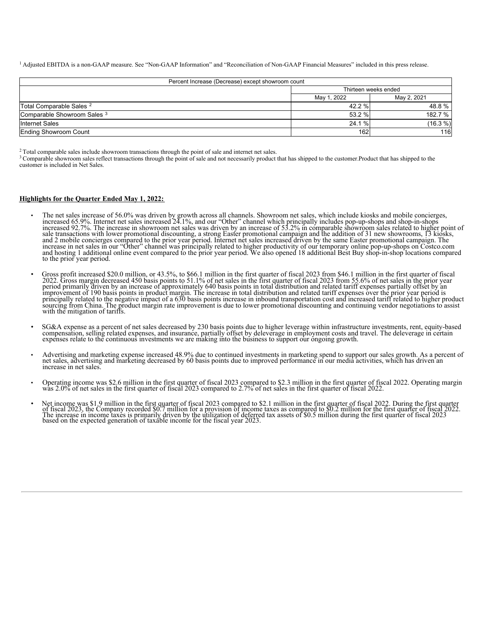<sup>1</sup> Adjusted EBITDA is a non-GAAP measure. See "Non-GAAP Information" and "Reconciliation of Non-GAAP Financial Measures" included in this press release.

| Percent Increase (Decrease) except showroom count |                            |          |  |  |  |
|---------------------------------------------------|----------------------------|----------|--|--|--|
|                                                   | Thirteen weeks ended       |          |  |  |  |
|                                                   | May 2, 2021<br>May 1, 2022 |          |  |  |  |
| Total Comparable Sales <sup>2</sup>               | 42.2 %                     | 48.8 %   |  |  |  |
| Comparable Showroom Sales 3                       | 53.2 %                     | 182.7 %  |  |  |  |
| <b>Internet Sales</b>                             | 24.1 %                     | (16.3 %) |  |  |  |
| Ending Showroom Count                             | 162                        | 116      |  |  |  |

<sup>2</sup> Total comparable sales include showroom transactions through the point of sale and internet net sales.

 $3$  Comparable showroom sales reflect transactions through the point of sale and not necessarily product that has shipped to the customer. Product that has shipped to the customer is included in Net Sales.

#### **Highlights for the Quarter Ended May 1, 2022:**

- The net sales increase of 56.0% was driven by growth across all channels. Showroom net sales, which include kiosks and mobile concierges, increased 65.9%. Internet net sales increased 24.1%, and our "Other" channel which p sale transactions with lower promotional discounting, a strong Easter promotional campaign and the addition of 31 new showrooms, 13 kiosks,<br>and 2 mobile concierges compared to the prior year period. Internet net sales incr to the prior year period.
- Gross profit increased \$20.0 million, or 43.5%, to \$66.1 million in the first quarter of fiscal 2023 from \$46.1 million in the first quarter of fiscal 2022 Gross margin decreased 450 basis points to 51.1% of net sales in
- SG&A expense as a percent of net sales decreased by 230 basis points due to higher leverage within infrastructure investments, rent, equity-based compensation, selling related expenses, and insurance, partially offset by
- Advertising and marketing expense increased 48.9% due to continued investments in marketing spend to support our sales growth. As a percent of net sales, advertising and marketing decreased by 60 basis points due to impr increase in net sales.
- Operating income was \$2.6 million in the first quarter of fiscal 2023 compared to \$2.3 million in the first quarter of fiscal 2022. Operating margin was 2.0% of net sales in the first quarter of fiscal 2022 empared to 2.7%
- Net income was \$1.9 million in the first quarter of fiscal 2023 compared to \$2.1 million in the first quarter of fiscal 2022. During the first quarter of fiscal 2023, the Company recorded \$0.7 million for a provision of based on the expected generation of taxable income for the fiscal year 2023.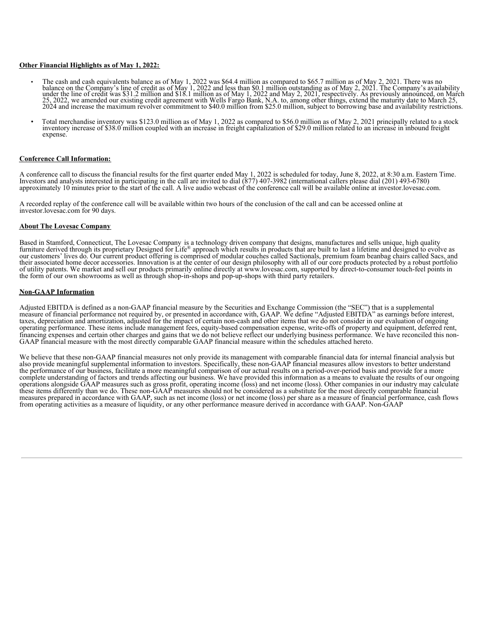### **Other Financial Highlights as of May 1, 2022:**

- The cash and cash equivalents balance as of May 1, 2022 was \$64.4 million as compared to \$65.7 million as of May 2, 2021. There was no<br>balance on the Company's line of credit as of May 1, 2022 and less than \$0.1 million ou 25, 2022, we amended our existing credit agreement with Wells Fargo Bank, N.A. to, among other things, extend the maturity date to March 25, 2024 and increase the maximum revolver commitment to \$40.0 million from \$25.0 mil
- Total merchandise inventory was \$123.0 million as of May 1, 2022 as compared to \$56.0 million as of May 2, 2021 principally related to a stock inventory increase of \$38.0 million coupled with an increase in freight capitalization of \$29.0 million related to an increase in inbound freight expense

### **Conference Call Information:**

A conference call to discuss the financial results for the first quarter ended May 1, 2022 is scheduled for today, June 8, 2022, at 8:30 a.m. Eastern Time. Investors and analysts interested in participating in the call are invited to dial (877) 407-3982 (international callers please dial (201) 493-6780) approximately 10 minutes prior to the start of the call. A live audio webcast of the conference call will be available online at investor.lovesac.com.

A recorded replay of the conference call will be available within two hours of the conclusion of the call and can be accessed online at investor.lovesac.com for 90 days.

#### **About The Lovesac Company**

Based in Stamford, Connecticut, The Lovesac Company is a technology driven company that designs, manufactures and sells unique, high quality furniture derived through its proprietary Designed for Life® approach which results in products that are built to last a lifetime and designed to evolve as our customers' lives do. Our current product offering is comprised of modular couches called Sactionals, premium foam beanbag chairs called Sacs, and their associated home decor accessories. Innovation is at the center of our design philosophy with all of our core products protected by a robust portfolio of utility patents. We market and sell our products primarily online directly at www.lovesac.com, supported by direct-to-consumer touch-feel points in the form of our own showrooms as well as through shop-in-shops and pop-up-shops with third party retailers. ®

#### **Non-GAAP Information**

Adjusted EBITDA is defined as a non-GAAP financial measure by the Securities and Exchange Commission (the "SEC") that is a supplemental<br>measure of financial performance not required by, or presented in accordance with, GAA taxes, depreciation and amortization, adjusted for the impact of certain non-cash and other items that we do not consider in our evaluation of ongoing operating performance. These items include management fees, equity-based compensation expense, write-offs of property and equipment, deferred rent, financing expenses and certain other charges and gains that we do not believe reflect our underlying business performance. We have reconciled this non-GAAP financial measure with the most directly comparable GAAP financial measure within the schedules attached hereto.

We believe that these non-GAAP financial measures not only provide its management with comparable financial data for internal financial analysis but also provide meaningful supplemental information to investors. Specifically, these non-GAAP financial measures allow investors to better understand the performance of our business, facilitate a more meaningful comparison of our actual results on a period-over-period basis and provide for a more complete understanding of factors and trends affecting our business. We have provided this information as a means to evaluate the results of our ongoing operations alongside GAAP measures such as gross profit, operating income (loss) and net income (loss). Other companies in our industry may calculate these items differently than we do. These non-GAAP measures should not be considered as a substitute for the most directly comparable financial<br>measures prepared in accordance with GAAP, such as net income (loss) or net in measures prepared in accordance with GAAP, such as net income (loss) or net income (loss) per share as a measure of financial performance, cash flows from operating activities as a measure of liquidity, or any other perfor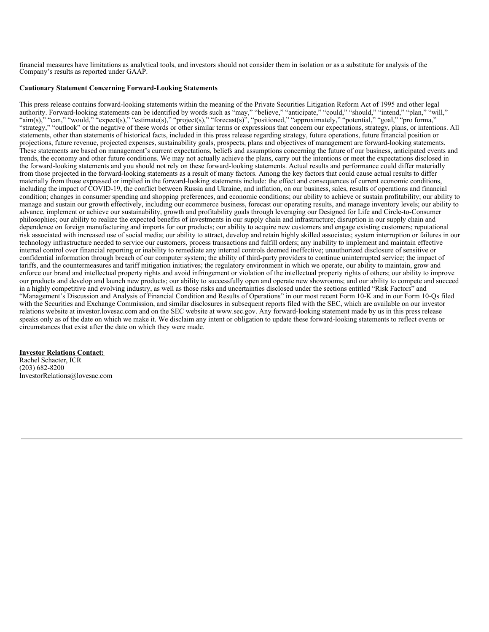<span id="page-5-0"></span>financial measures have limitations as analytical tools, and investors should not consider them in isolation or as a substitute for analysis of the Company's results as reported under GAAP.

### **Cautionary Statement Concerning Forward-Looking Statements**

This press release contains forward-looking statements within the meaning of the Private Securities Litigation Reform Act of 1995 and other legal authority. Forward-looking statements can be identified by words such as "may," "believe," "anticipate," "could," "should," "intend," "plan," "will," "aim(s)," "can," "would," "expect(s)," "estimate(s)," "project(s)," "forecast(s)", "positioned," "approximately," "potential," "goal," "pro forma," "strategy," "outlook" or the negative of these words or other similar terms or expressions that concern our expectations, strategy, plans, or intentions. All statements, other than statements of historical facts, included in this press release regarding strategy, future operations, future financial position or projections, future revenue, projected expenses, sustainability goals, prospects, plans and objectives of management are forward-looking statements. These statements are based on management's current expectations, beliefs and assumptions concerning the future of our business, anticipated events and trends, the economy and other future conditions. We may not actually achieve the plans, carry out the intentions or meet the expectations disclosed in the forward-looking statements and you should not rely on these forward-looking statements. Actual results and performance could differ materially from those projected in the forward-looking statements as a result of many factors. Among the key factors that could cause actual results to differ materially from those expressed or implied in the forward-looking statements include: the effect and consequences of current economic conditions, including the impact of COVID-19, the conflict between Russia and Ukraine, and inflation, on our business, sales, results of operations and financial condition; changes in consumer spending and shopping preferences, and economic conditions; our ability to achieve or sustain profitability; our ability to manage and sustain our growth effectively, including our ecommerce business, forecast our operating results, and manage inventory levels; our ability to advance, implement or achieve our sustainability, growth and profitability goals through leveraging our Designed for Life and Circle-to-Consumer philosophies; our ability to realize the expected benefits of investments in our supply chain and infrastructure; disruption in our supply chain and dependence on foreign manufacturing and imports for our products; our ability to acquire new customers and engage existing customers; reputational risk associated with increased use of social media; our ability to attract, develop and retain highly skilled associates; system interruption or failures in our technology infrastructure needed to service our customers, process transactions and fulfill orders; any inability to implement and maintain effective internal control over financial reporting or inability to remediate any internal controls deemed ineffective; unauthorized disclosure of sensitive or confidential information through breach of our computer system; the ability of third-party providers to continue uninterrupted service; the impact of tariffs, and the countermeasures and tariff mitigation initiatives; the regulatory environment in which we operate, our ability to maintain, grow and enforce our brand and intellectual property rights and avoid infringement or violation of the intellectual property rights of others; our ability to improve our products and develop and launch new products; our ability to successfully open and operate new showrooms; and our ability to compete and succeed in a highly competitive and evolving industry, as well as those risks and uncertainties disclosed under the sections entitled "Risk Factors" and "Management's Discussion and Analysis of Financial Condition and Results of Operations" in our most recent Form 10-K and in our Form 10-Qs filed with the Securities and Exchange Commission, and similar disclosures in subsequent reports filed with the SEC, which are available on our investor relations website at investor.lovesac.com and on the SEC website at www.sec.gov. Any forward-looking statement made by us in this press release speaks only as of the date on which we make it. We disclaim any intent or obligation to update these forward-looking statements to reflect events or circumstances that exist after the date on which they were made.

**Investor Relations Contact:** Rachel Schacter, ICR (203) 682-8200 InvestorRelations@lovesac.com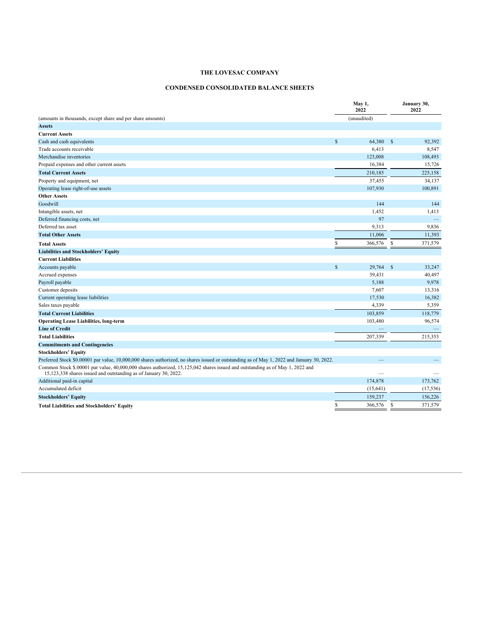# **CONDENSED CONSOLIDATED BALANCE SHEETS**

|                                                                                                                                                                                                   |              | May 1,<br>2022 |              | January 30,<br>2022 |
|---------------------------------------------------------------------------------------------------------------------------------------------------------------------------------------------------|--------------|----------------|--------------|---------------------|
| (amounts in thousands, except share and per share amounts)                                                                                                                                        |              | (unaudited)    |              |                     |
| <b>Assets</b>                                                                                                                                                                                     |              |                |              |                     |
| <b>Current Assets</b>                                                                                                                                                                             |              |                |              |                     |
| Cash and cash equivalents                                                                                                                                                                         | $\mathbb{S}$ | 64.380         | <sup>S</sup> | 92,392              |
| Trade accounts receivable                                                                                                                                                                         |              | 6,413          |              | 8,547               |
| Merchandise inventories                                                                                                                                                                           |              | 123,008        |              | 108,493             |
| Prepaid expenses and other current assets                                                                                                                                                         |              | 16,384         |              | 15,726              |
| <b>Total Current Assets</b>                                                                                                                                                                       |              | 210,185        |              | 225,158             |
| Property and equipment, net                                                                                                                                                                       |              | 37,455         |              | 34,137              |
| Operating lease right-of-use assets                                                                                                                                                               |              | 107,930        |              | 100,891             |
| <b>Other Assets</b>                                                                                                                                                                               |              |                |              |                     |
| Goodwill                                                                                                                                                                                          |              | 144            |              | 144                 |
| Intangible assets, net                                                                                                                                                                            |              | 1,452          |              | 1,413               |
| Deferred financing costs, net                                                                                                                                                                     |              | 97             |              | $\qquad \qquad -$   |
| Deferred tax asset                                                                                                                                                                                |              | 9,313          |              | 9,836               |
| <b>Total Other Assets</b>                                                                                                                                                                         |              | 11.006         |              | 11,393              |
| <b>Total Assets</b>                                                                                                                                                                               | \$           | 366,576        | \$           | 371,579             |
| <b>Liabilities and Stockholders' Equity</b>                                                                                                                                                       |              |                |              |                     |
| <b>Current Liabilities</b>                                                                                                                                                                        |              |                |              |                     |
| Accounts payable                                                                                                                                                                                  | $\mathbb{S}$ | 29,764         | $\mathbb{S}$ | 33,247              |
| Accrued expenses                                                                                                                                                                                  |              | 39,431         |              | 40,497              |
| Payroll payable                                                                                                                                                                                   |              | 5,188          |              | 9,978               |
| Customer deposits                                                                                                                                                                                 |              | 7,607          |              | 13,316              |
| Current operating lease liabilities                                                                                                                                                               |              | 17,530         |              | 16,382              |
| Sales taxes payable                                                                                                                                                                               |              | 4,339          |              | 5,359               |
| <b>Total Current Liabilities</b>                                                                                                                                                                  |              | 103,859        |              | 118,779             |
| <b>Operating Lease Liabilities, long-term</b>                                                                                                                                                     |              | 103,480        |              | 96,574              |
| <b>Line of Credit</b>                                                                                                                                                                             |              |                |              |                     |
| <b>Total Liabilities</b>                                                                                                                                                                          |              | 207,339        |              | 215,353             |
| <b>Commitments and Contingencies</b>                                                                                                                                                              |              |                |              |                     |
| <b>Stockholders' Equity</b>                                                                                                                                                                       |              |                |              |                     |
| Preferred Stock \$0.00001 par value, 10,000,000 shares authorized, no shares issued or outstanding as of May 1, 2022 and January 30, 2022.                                                        |              |                |              |                     |
| Common Stock \$.00001 par value, 40,000,000 shares authorized, 15,125,042 shares issued and outstanding as of May 1, 2022 and<br>15,123,338 shares issued and outstanding as of January 30, 2022. |              |                |              |                     |
| Additional paid-in capital                                                                                                                                                                        |              | 174,878        |              | 173,762             |
| Accumulated deficit                                                                                                                                                                               |              | (15, 641)      |              | (17, 536)           |
| <b>Stockholders' Equity</b>                                                                                                                                                                       |              | 159,237        |              | 156,226             |
| <b>Total Liabilities and Stockholders' Equity</b>                                                                                                                                                 | \$           | 366,576        | S            | 371,579             |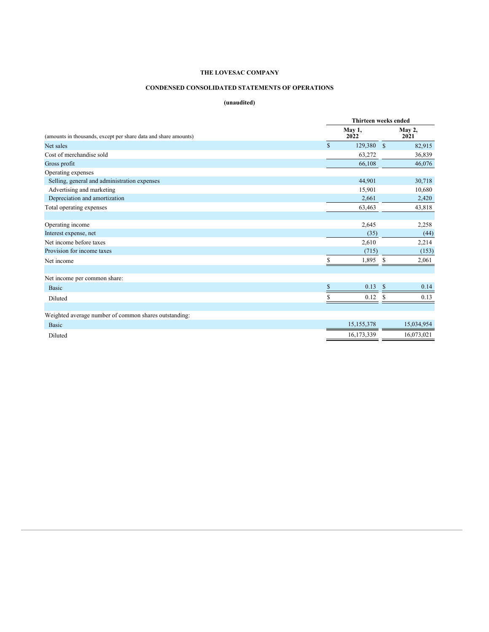# **CONDENSED CONSOLIDATED STATEMENTS OF OPERATIONS**

# **(unaudited)**

|                                                                 |              | Thirteen weeks ended |                |            |  |  |
|-----------------------------------------------------------------|--------------|----------------------|----------------|------------|--|--|
| (amounts in thousands, except per share data and share amounts) |              | May 1,<br>2022       | May 2,<br>2021 |            |  |  |
| Net sales                                                       | $\mathbb{S}$ | 129,380 \$           |                | 82,915     |  |  |
| Cost of merchandise sold                                        |              | 63,272               |                | 36,839     |  |  |
| Gross profit                                                    |              | 66,108               |                | 46,076     |  |  |
| Operating expenses                                              |              |                      |                |            |  |  |
| Selling, general and administration expenses                    |              | 44,901               |                | 30,718     |  |  |
| Advertising and marketing                                       |              | 15,901               |                | 10,680     |  |  |
| Depreciation and amortization                                   |              | 2,661                |                | 2,420      |  |  |
| Total operating expenses                                        |              | 63,463               |                | 43,818     |  |  |
|                                                                 |              |                      |                |            |  |  |
| Operating income                                                |              | 2,645                |                | 2,258      |  |  |
| Interest expense, net                                           |              | (35)                 |                | (44)       |  |  |
| Net income before taxes                                         |              | 2,610                |                | 2,214      |  |  |
| Provision for income taxes                                      |              | (715)                |                | (153)      |  |  |
| Net income                                                      | S            | 1,895                | S              | 2,061      |  |  |
|                                                                 |              |                      |                |            |  |  |
| Net income per common share:                                    |              |                      |                |            |  |  |
| <b>Basic</b>                                                    | $\mathbf{s}$ | 0.13                 | <b>S</b>       | 0.14       |  |  |
| Diluted                                                         |              | 0.12                 |                | 0.13       |  |  |
|                                                                 |              |                      |                |            |  |  |
| Weighted average number of common shares outstanding:           |              |                      |                |            |  |  |
| <b>Basic</b>                                                    |              | 15,155,378           |                | 15,034,954 |  |  |
| Diluted                                                         |              | 16,173,339           |                | 16,073,021 |  |  |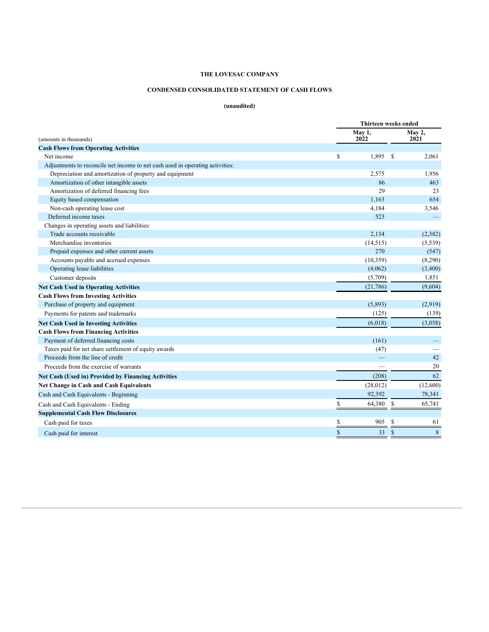# **CONDENSED CONSOLIDATED STATEMENT OF CASH FLOWS**

# **(unaudited)**

|                                                                               | Thirteen weeks ended |                       |                 |  |  |
|-------------------------------------------------------------------------------|----------------------|-----------------------|-----------------|--|--|
| (amounts in thousands)                                                        | May 1,<br>2022       | <b>May 2,</b><br>2021 |                 |  |  |
| <b>Cash Flows from Operating Activities</b>                                   |                      |                       |                 |  |  |
| Net income                                                                    | \$<br>1,895          | \$                    | 2,061           |  |  |
| Adjustments to reconcile net income to net cash used in operating activities: |                      |                       |                 |  |  |
| Depreciation and amortization of property and equipment                       | 2,575                |                       | 1,956           |  |  |
| Amortization of other intangible assets                                       | 86                   |                       | 463             |  |  |
| Amortization of deferred financing fees                                       | 29                   |                       | 23              |  |  |
| Equity based compensation                                                     | 1,163                |                       | 654             |  |  |
| Non-cash operating lease cost                                                 | 4,184                |                       | 3,546           |  |  |
| Deferred income taxes                                                         | 523                  |                       |                 |  |  |
| Changes in operating assets and liabilities:                                  |                      |                       |                 |  |  |
| Trade accounts receivable                                                     | 2,134                |                       | (2,382)         |  |  |
| Merchandise inventories                                                       | (14, 515)            |                       | (5, 539)        |  |  |
| Prepaid expenses and other current assets                                     | 270                  |                       | (547)           |  |  |
| Accounts payable and accrued expenses                                         | (10, 359)            |                       | (8,290)         |  |  |
| Operating lease liabilities                                                   | (4,062)              |                       | (3,400)         |  |  |
| Customer deposits                                                             | (5,709)              |                       | 1,851           |  |  |
| <b>Net Cash Used in Operating Activities</b>                                  | (21,786)             |                       | (9,604)         |  |  |
| <b>Cash Flows from Investing Activities</b>                                   |                      |                       |                 |  |  |
| Purchase of property and equipment                                            | (5,893)              |                       | (2,919)         |  |  |
| Payments for patents and trademarks                                           | (125)                |                       | (139)           |  |  |
| <b>Net Cash Used in Investing Activities</b>                                  | (6,018)              |                       | (3,058)         |  |  |
| <b>Cash Flows from Financing Activities</b>                                   |                      |                       |                 |  |  |
| Payment of deferred financing costs                                           | (161)                |                       |                 |  |  |
| Taxes paid for net share settlement of equity awards                          | (47)                 |                       |                 |  |  |
| Proceeds from the line of credit                                              |                      |                       | 42              |  |  |
| Proceeds from the exercise of warrants                                        |                      |                       | 20              |  |  |
| <b>Net Cash (Used in) Provided by Financing Activities</b>                    | (208)                |                       | 62              |  |  |
| <b>Net Change in Cash and Cash Equivalents</b>                                | (28,012)             |                       | (12,600)        |  |  |
| Cash and Cash Equivalents - Beginning                                         | 92,392               |                       | 78,341          |  |  |
| Cash and Cash Equivalents - Ending                                            | \$<br>64,380         | \$                    | 65,741          |  |  |
| <b>Supplemental Cash Flow Disclosures</b>                                     |                      |                       |                 |  |  |
| Cash paid for taxes                                                           | \$<br>905            | \$                    | 61              |  |  |
|                                                                               | \$<br>33             | \$                    | $8\phantom{.}8$ |  |  |
| Cash paid for interest                                                        |                      |                       |                 |  |  |